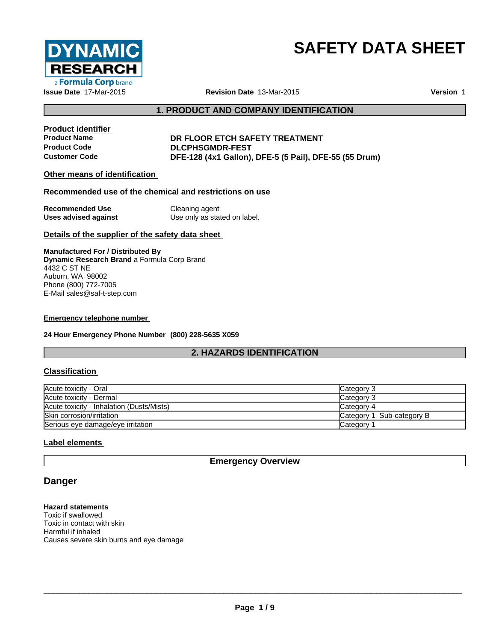

# **SAFETY DATA SHEET**

## **1. PRODUCT AND COMPANY IDENTIFICATION**

**Product identifier**

#### **Product Name DR FLOOR ETCH SAFETY TREATMENT Product Code DLCPHSGMDR-FEST Customer Code DFE-128 (4x1 Gallon), DFE-5 (5 Pail), DFE-55 (55 Drum)**

## **Other means of identification**

#### **Recommended use of the chemical and restrictions on use**

| <b>Recommended Use</b> | Cleaning agent               |
|------------------------|------------------------------|
| Uses advised against   | Use only as stated on label. |

#### **Details of the supplier of the safety data sheet**

**Manufactured For / Distributed By Dynamic Research Brand** a Formula Corp Brand 4432 C ST NE Auburn, WA 98002 Phone (800) 772-7005 E-Mail sales@saf-t-step.com

#### **Emergency telephone number**

**24 Hour Emergency Phone Number (800) 228-5635 X059**

## **2. HAZARDS IDENTIFICATION**

#### **Classification**

| Acute toxicity - Oral                     | Category 3                |
|-------------------------------------------|---------------------------|
| Acute toxicity - Dermal                   | lCategory 3               |
| Acute toxicity - Inhalation (Dusts/Mists) | Category 4                |
| Skin corrosion/irritation                 | Category 1 Sub-category B |
| Serious eye damage/eye irritation         | Category 1                |

## **Label elements**

**Emergency Overview**

# **Danger**

**Hazard statements** Toxic if swallowed Toxic in contact with skin Harmful if inhaled Causes severe skin burns and eye damage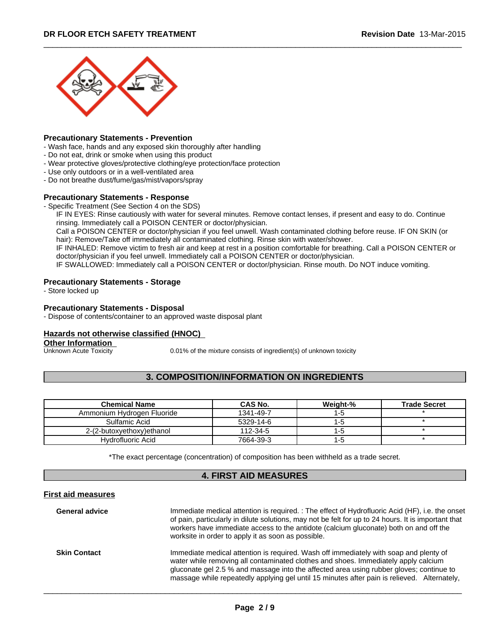

#### **Precautionary Statements - Prevention**

- Wash face, hands and any exposed skin thoroughly after handling
- Do not eat, drink or smoke when using this product
- Wear protective gloves/protective clothing/eye protection/face protection
- Use only outdoors or in a well-ventilated area
- Do not breathe dust/fume/gas/mist/vapors/spray

#### **Precautionary Statements - Response**

- Specific Treatment (See Section 4 on the SDS)

IF IN EYES: Rinse cautiously with water for several minutes. Remove contact lenses, if present and easy to do. Continue rinsing. Immediately call a POISON CENTER or doctor/physician.

Call a POISON CENTER or doctor/physician if you feel unwell.Wash contaminated clothing before reuse. IF ON SKIN (or hair): Remove/Take off immediately all contaminated clothing. Rinse skin with water/shower.

IF INHALED: Remove victim to fresh air and keep at rest in a position comfortable for breathing. Call a POISON CENTER or doctor/physician if you feel unwell. Immediately call a POISON CENTER or doctor/physician.

IF SWALLOWED: Immediately call a POISON CENTER or doctor/physician. Rinse mouth. Do NOT induce vomiting.

### **Precautionary Statements - Storage**

- Store locked up

#### **Precautionary Statements - Disposal**

- Dispose of contents/container to an approved waste disposal plant

#### **Hazards not otherwise classified (HNOC)**

**Other Information**<br>**Unknown Acute Toxicity** 

0.01% of the mixture consists of ingredient(s) of unknown toxicity

## **3. COMPOSITION/INFORMATION ON INGREDIENTS**

| <b>Chemical Name</b>       | CAS No.   | Weight-% | <b>Trade Secret</b> |
|----------------------------|-----------|----------|---------------------|
| Ammonium Hydrogen Fluoride | 1341-49-7 | I - O    |                     |
| Sulfamic Acid              | 5329-14-6 |          |                     |
| 2-(2-butoxyethoxy)ethanol  | 112-34-5  |          |                     |
| Hydrofluoric Acid          | 7664-39-3 | ם-ו      |                     |

\*The exact percentage (concentration) of composition has been withheld as a trade secret.

#### **4. FIRST AID MEASURES**

#### **First aid measures**

| <b>General advice</b> | Immediate medical attention is required. : The effect of Hydrofluoric Acid (HF), i.e. the onset<br>of pain, particularly in dilute solutions, may not be felt for up to 24 hours. It is important that<br>workers have immediate access to the antidote (calcium gluconate) both on and off the<br>worksite in order to apply it as soon as possible.                 |
|-----------------------|-----------------------------------------------------------------------------------------------------------------------------------------------------------------------------------------------------------------------------------------------------------------------------------------------------------------------------------------------------------------------|
| <b>Skin Contact</b>   | Immediate medical attention is required. Wash off immediately with soap and plenty of<br>water while removing all contaminated clothes and shoes. Immediately apply calcium<br>gluconate gel 2.5 % and massage into the affected area using rubber gloves; continue to<br>massage while repeatedly applying gel until 15 minutes after pain is relieved. Alternately, |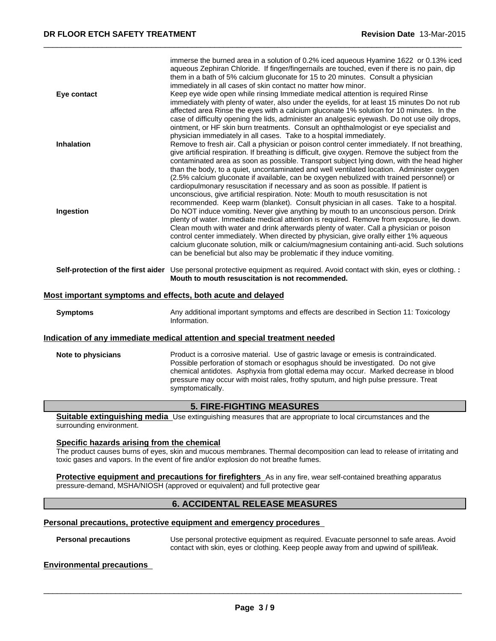| Eye contact       | immerse the burned area in a solution of 0.2% iced aqueous Hyamine 1622 or 0.13% iced<br>aqueous Zephiran Chloride. If finger/fingernails are touched, even if there is no pain, dip<br>them in a bath of 5% calcium gluconate for 15 to 20 minutes. Consult a physician<br>immediately in all cases of skin contact no matter how minor.<br>Keep eye wide open while rinsing Immediate medical attention is required Rinse                                                                                                                                                                                                                                         |  |
|-------------------|---------------------------------------------------------------------------------------------------------------------------------------------------------------------------------------------------------------------------------------------------------------------------------------------------------------------------------------------------------------------------------------------------------------------------------------------------------------------------------------------------------------------------------------------------------------------------------------------------------------------------------------------------------------------|--|
|                   | immediately with plenty of water, also under the eyelids, for at least 15 minutes Do not rub<br>affected area Rinse the eyes with a calcium gluconate 1% solution for 10 minutes. In the<br>case of difficulty opening the lids, administer an analgesic eyewash. Do not use oily drops,<br>ointment, or HF skin burn treatments. Consult an ophthalmologist or eye specialist and<br>physician immediately in all cases. Take to a hospital immediately.                                                                                                                                                                                                           |  |
| <b>Inhalation</b> | Remove to fresh air. Call a physician or poison control center immediately. If not breathing,<br>give artificial respiration. If breathing is difficult, give oxygen. Remove the subject from the<br>contaminated area as soon as possible. Transport subject lying down, with the head higher<br>than the body, to a quiet, uncontaminated and well ventilated location. Administer oxygen<br>(2.5% calcium gluconate if available, can be oxygen nebulized with trained personnel) or<br>cardiopulmonary resuscitation if necessary and as soon as possible. If patient is<br>unconscious, give artificial respiration. Note: Mouth to mouth resuscitation is not |  |
| Ingestion         | recommended. Keep warm (blanket). Consult physician in all cases. Take to a hospital.<br>Do NOT induce vomiting. Never give anything by mouth to an unconscious person. Drink<br>plenty of water. Immediate medical attention is required. Remove from exposure, lie down.<br>Clean mouth with water and drink afterwards plenty of water. Call a physician or poison<br>control center immediately. When directed by physician, give orally either 1% aqueous<br>calcium gluconate solution, milk or calcium/magnesium containing anti-acid. Such solutions<br>can be beneficial but also may be problematic if they induce vomiting.                              |  |
|                   | Self-protection of the first aider Use personal protective equipment as required. Avoid contact with skin, eyes or clothing. :<br>Mouth to mouth resuscitation is not recommended.                                                                                                                                                                                                                                                                                                                                                                                                                                                                                  |  |
|                   | Most important symptoms and effects, both acute and delayed                                                                                                                                                                                                                                                                                                                                                                                                                                                                                                                                                                                                         |  |

## **Symptoms** Any additional important symptoms and effects are described in Section 11: Toxicology Information.

#### **Indication of any immediate medical attention and special treatment needed**

| Note to physicians | Product is a corrosive material. Use of gastric lavage or emesis is contraindicated. |
|--------------------|--------------------------------------------------------------------------------------|
|                    | Possible perforation of stomach or esophagus should be investigated. Do not give     |
|                    | chemical antidotes. Asphyxia from glottal edema may occur. Marked decrease in blood  |
|                    | pressure may occur with moist rales, frothy sputum, and high pulse pressure. Treat   |
|                    | symptomatically.                                                                     |

## **5. FIRE-FIGHTING MEASURES**

**Suitable extinguishing media** Use extinguishing measures that are appropriate to local circumstances and the surrounding environment.

## **Specific hazards arising from the chemical**

The product causes burns of eyes, skin and mucous membranes. Thermal decomposition can lead to release of irritating and toxic gases and vapors. In the event of fire and/or explosion do not breathe fumes.

**Protective equipment and precautions for firefighters** As in any fire, wear self-contained breathing apparatus pressure-demand, MSHA/NIOSH (approved or equivalent) and full protective gear

## **6. ACCIDENTAL RELEASE MEASURES**

## **Personal precautions, protective equipment and emergency procedures**

**Personal precautions** Use personal protective equipment as required.Evacuate personnel to safe areas. Avoid contact with skin, eyes or clothing. Keep people away from and upwind of spill/leak.

#### **Environmental precautions**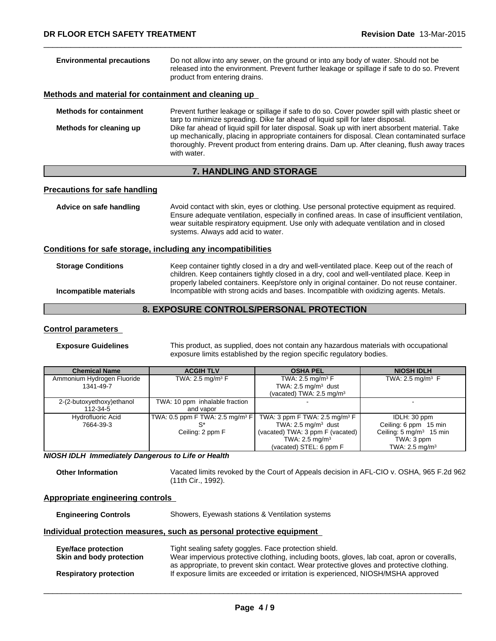| Do not allow into any sewer, on the ground or into any body of water. Should not be<br>released into the environment. Prevent further leakage or spillage if safe to do so. Prevent<br>product from entering drains.                                                                                        |
|-------------------------------------------------------------------------------------------------------------------------------------------------------------------------------------------------------------------------------------------------------------------------------------------------------------|
| Methods and material for containment and cleaning up                                                                                                                                                                                                                                                        |
| Prevent further leakage or spillage if safe to do so. Cover powder spill with plastic sheet or<br>tarp to minimize spreading. Dike far ahead of liquid spill for later disposal.                                                                                                                            |
| Dike far ahead of liquid spill for later disposal. Soak up with inert absorbent material. Take<br>up mechanically, placing in appropriate containers for disposal. Clean contaminated surface<br>thoroughly. Prevent product from entering drains. Dam up. After cleaning, flush away traces<br>with water. |
|                                                                                                                                                                                                                                                                                                             |

## **7. HANDLING AND STORAGE**

## **Precautions for safe handling**

| Advice on safe handling | Avoid contact with skin, eyes or clothing. Use personal protective equipment as required.<br>Ensure adequate ventilation, especially in confined areas. In case of insufficient ventilation,<br>wear suitable respiratory equipment. Use only with adequate ventilation and in closed<br>systems. Always add acid to water. |
|-------------------------|-----------------------------------------------------------------------------------------------------------------------------------------------------------------------------------------------------------------------------------------------------------------------------------------------------------------------------|
|                         |                                                                                                                                                                                                                                                                                                                             |

## **Conditions for safe storage, including any incompatibilities**

| <b>Storage Conditions</b> | Keep container tightly closed in a dry and well-ventilated place. Keep out of the reach of<br>children. Keep containers tightly closed in a dry, cool and well-ventilated place. Keep in<br>properly labeled containers. Keep/store only in original container. Do not reuse container. |
|---------------------------|-----------------------------------------------------------------------------------------------------------------------------------------------------------------------------------------------------------------------------------------------------------------------------------------|
| Incompatible materials    | Incompatible with strong acids and bases. Incompatible with oxidizing agents. Metals.                                                                                                                                                                                                   |

# **8. EXPOSURE CONTROLS/PERSONAL PROTECTION**

## **Control parameters**

**Exposure Guidelines** This product, as supplied, does not contain any hazardous materials with occupational exposure limits established by the region specific regulatory bodies.

| <b>Chemical Name</b>       | <b>ACGIH TLV</b>                                    | <b>OSHA PEL</b>                          | <b>NIOSH IDLH</b>                  |
|----------------------------|-----------------------------------------------------|------------------------------------------|------------------------------------|
| Ammonium Hydrogen Fluoride | TWA: 2.5 mg/m <sup>3</sup> $F$                      | TWA: 2.5 mg/m <sup>3</sup> $F$           | TWA: 2.5 mg/m <sup>3</sup> $F$     |
| 1341-49-7                  |                                                     | TWA: $2.5 \text{ mg/m}^3$ dust           |                                    |
|                            |                                                     | (vacated) TWA: $2.5 \text{ mg/m}^3$      |                                    |
| 2-(2-butoxyethoxy)ethanol  | TWA: 10 ppm inhalable fraction                      |                                          |                                    |
| 112-34-5                   | and vapor                                           |                                          |                                    |
| <b>Hydrofluoric Acid</b>   | $\vert$ TWA: 0.5 ppm F TWA: 2.5 mg/m <sup>3</sup> F | TWA: 3 ppm F TWA: $2.5 \text{ mg/m}^3$ F | IDLH: 30 ppm                       |
| 7664-39-3                  | c*                                                  | TWA: $2.5 \text{ mg/m}^3$ dust           | Ceiling: 6 ppm 15 min              |
|                            | Ceiling: 2 ppm F                                    | (vacated) TWA: 3 ppm F (vacated)         | Ceiling: $5 \text{ mg/m}^3$ 15 min |
|                            |                                                     | TWA: $2.5 \text{ mg/m}^3$                | TWA: 3 ppm                         |
|                            |                                                     | (vacated) STEL: 6 ppm F                  | TWA: $2.5 \text{ mg/m}^3$          |

*NIOSH IDLH Immediately Dangerous to Life or Health*

**Other Information** Vacated limits revoked by the Court of Appeals decision in AFL-CIO v.OSHA, 965 F.2d 962 (11th Cir., 1992).

## **Appropriate engineering controls**

| <b>Engineering Controls</b>                                           | Showers, Eyewash stations & Ventilation systems                                                                                                                                                                                                  |  |  |
|-----------------------------------------------------------------------|--------------------------------------------------------------------------------------------------------------------------------------------------------------------------------------------------------------------------------------------------|--|--|
| Individual protection measures, such as personal protective equipment |                                                                                                                                                                                                                                                  |  |  |
| <b>Eye/face protection</b><br>Skin and body protection                | Tight sealing safety goggles. Face protection shield.<br>Wear impervious protective clothing, including boots, gloves, lab coat, apron or coveralls,<br>as appropriate, to prevent skin contact. Wear protective gloves and protective clothing. |  |  |
| <b>Respiratory protection</b>                                         | If exposure limits are exceeded or irritation is experienced, NIOSH/MSHA approved                                                                                                                                                                |  |  |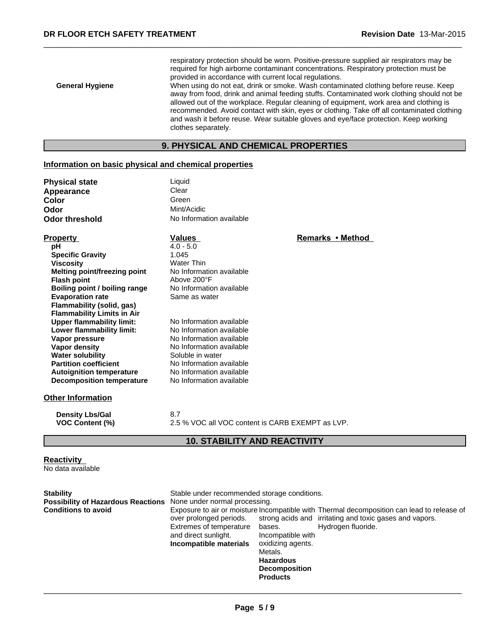respiratory protection should be worn. Positive-pressure supplied air respirators may be required for high airborne contaminant concentrations. Respiratory protection must be provided in accordance with current local regulations.

**General Hygiene** When using do not eat, drink or smoke. Wash contaminated clothing before reuse. Keep away from food, drink and animal feeding stuffs. Contaminated work clothing should not be allowed out of the workplace. Regular cleaning of equipment, work area and clothing is recommended. Avoid contact with skin, eyes or clothing. Take off all contaminated clothing and wash it before reuse. Wear suitable gloves and eye/face protection. Keep working clothes separately.

# **9. PHYSICAL AND CHEMICAL PROPERTIES**

## **Information on basic physical and chemical properties**

| <b>Physical state</b> | Liquid                   |
|-----------------------|--------------------------|
| Appearance            | Clear                    |
| Color                 | Green                    |
| Odor                  | Mint/Acidic              |
| Odor threshold        | No Information available |

| <b>Property</b>                   | <b>Values</b>            | Remarks • Method |
|-----------------------------------|--------------------------|------------------|
| рH                                | $4.0 - 5.0$              |                  |
| <b>Specific Gravity</b>           | 1.045                    |                  |
| Viscosity                         | <b>Water Thin</b>        |                  |
| Melting point/freezing point      | No Information available |                  |
| <b>Flash point</b>                | Above 200°F              |                  |
| Boiling point / boiling range     | No Information available |                  |
| <b>Evaporation rate</b>           | Same as water            |                  |
| Flammability (solid, gas)         |                          |                  |
| <b>Flammability Limits in Air</b> |                          |                  |
| <b>Upper flammability limit:</b>  | No Information available |                  |
| Lower flammability limit:         | No Information available |                  |
| Vapor pressure                    | No Information available |                  |
| Vapor density                     | No Information available |                  |
| <b>Water solubility</b>           | Soluble in water         |                  |
| <b>Partition coefficient</b>      | No Information available |                  |
| <b>Autoignition temperature</b>   | No Information available |                  |
| <b>Decomposition temperature</b>  | No Information available |                  |
| <b>Other Information</b>          |                          |                  |
|                                   | $\sim$ $\rightarrow$     |                  |

**Density Lbs/Gal** 8.7 **VOC Content (%)** 2.5 % VOC all VOC content is CARB EXEMPT as LVP.

## **10. STABILITY AND REACTIVITY**

#### **Reactivity**

No data available

| <b>Stability</b>                                                 | Stable under recommended storage conditions.                                                         |                                                                                                                            |                                                                                                                                                                             |
|------------------------------------------------------------------|------------------------------------------------------------------------------------------------------|----------------------------------------------------------------------------------------------------------------------------|-----------------------------------------------------------------------------------------------------------------------------------------------------------------------------|
| Possibility of Hazardous Reactions None under normal processing. |                                                                                                      |                                                                                                                            |                                                                                                                                                                             |
| <b>Conditions to avoid</b>                                       | over prolonged periods.<br>Extremes of temperature<br>and direct sunlight.<br>Incompatible materials | bases.<br>Incompatible with<br>oxidizing agents.<br>Metals.<br><b>Hazardous</b><br><b>Decomposition</b><br><b>Products</b> | Exposure to air or moisture Incompatible with Thermal decomposition can lead to release of<br>strong acids and irritating and toxic gases and vapors.<br>Hydrogen fluoride. |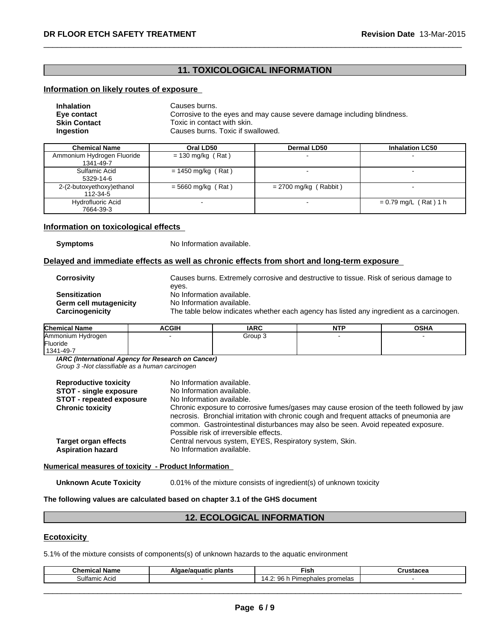## **11. TOXICOLOGICAL INFORMATION**

## **Information on likely routes of exposure**

| <b>Inhalation</b>   | Causes burns.                                                          |
|---------------------|------------------------------------------------------------------------|
| Eye contact         | Corrosive to the eyes and may cause severe damage including blindness. |
| <b>Skin Contact</b> | Toxic in contact with skin.                                            |
| Ingestion           | Causes burns. Toxic if swallowed.                                      |

| <b>Chemical Name</b>                    | Oral LD50            | <b>Dermal LD50</b>      | <b>Inhalation LC50</b>  |
|-----------------------------------------|----------------------|-------------------------|-------------------------|
| Ammonium Hydrogen Fluoride<br>1341-49-7 | $= 130$ mg/kg (Rat)  |                         |                         |
| Sulfamic Acid<br>5329-14-6              | $= 1450$ mg/kg (Rat) |                         |                         |
| 2-(2-butoxyethoxy)ethanol<br>112-34-5   | $=$ 5660 mg/kg (Rat) | $= 2700$ mg/kg (Rabbit) |                         |
| Hydrofluoric Acid<br>7664-39-3          |                      |                         | $= 0.79$ mg/L (Rat) 1 h |

## **Information on toxicological effects**

**Symptoms** No Information available.

#### **Delayed and immediate effects as well as chronic effects from short and long-term exposure**

| <b>Corrosivity</b>     | Causes burns. Extremely corrosive and destructive to tissue. Risk of serious damage to   |
|------------------------|------------------------------------------------------------------------------------------|
|                        | eves.                                                                                    |
| <b>Sensitization</b>   | No Information available.                                                                |
| Germ cell mutagenicity | No Information available.                                                                |
| Carcinogenicity        | The table below indicates whether each agency has listed any ingredient as a carcinogen. |
|                        |                                                                                          |

| <b>Chemical Name</b> | <b>ACGIH</b> | <b>IARC</b> | NTD | <b>OSHA</b> |
|----------------------|--------------|-------------|-----|-------------|
| Ammonium Hydrogen    |              | Group 3     |     |             |
| Fluoride             |              |             |     |             |
| 1341-49-7            |              |             |     |             |

*IARC (International Agency for Research on Cancer)*

*Group 3 -Not classifiable as a human carcinogen*

| No Information available.<br>No Information available.<br>No Information available.<br>Chronic exposure to corrosive fumes/gases may cause erosion of the teeth followed by jaw<br>necrosis. Bronchial irritation with chronic cough and frequent attacks of pneumonia are<br>common. Gastrointestinal disturbances may also be seen. Avoid repeated exposure.<br>Possible risk of irreversible effects. |
|----------------------------------------------------------------------------------------------------------------------------------------------------------------------------------------------------------------------------------------------------------------------------------------------------------------------------------------------------------------------------------------------------------|
| Central nervous system, EYES, Respiratory system, Skin.<br>No Information available.                                                                                                                                                                                                                                                                                                                     |
|                                                                                                                                                                                                                                                                                                                                                                                                          |

**Numerical measures of toxicity - Product Information**

**Unknown Acute Toxicity** 0.01% of the mixture consists of ingredient(s) of unknown toxicity

**The following values are calculated based on chapter 3.1 of the GHS document**

# **12. ECOLOGICAL INFORMATION**

#### **Ecotoxicity**

5.1% of the mixture consists of components(s) of unknown hazards to the aquatic environment

| $\sim$                         | plants | ™is⊾                               |  |
|--------------------------------|--------|------------------------------------|--|
| ulfar<br>$\sim$<br>nıc<br>שוטר |        | ╮.<br>. prom<br>n<br>nale<br>ieias |  |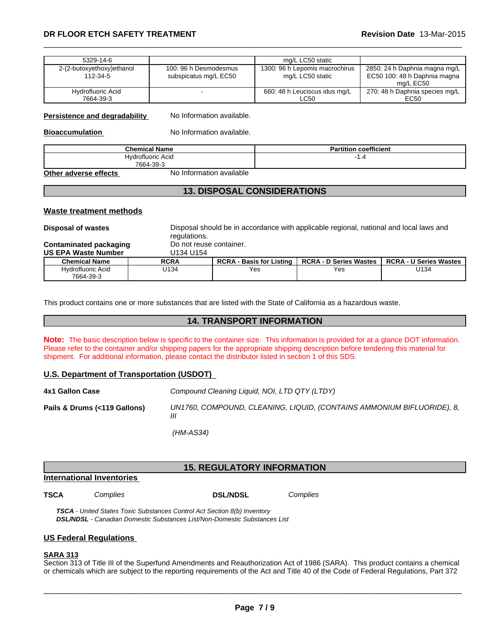## \_\_\_\_\_\_\_\_\_\_\_\_\_\_\_\_\_\_\_\_\_\_\_\_\_\_\_\_\_\_\_\_\_\_\_\_\_\_\_\_\_\_\_\_\_\_\_\_\_\_\_\_\_\_\_\_\_\_\_\_\_\_\_\_\_\_\_\_\_\_\_\_\_\_\_\_\_\_\_\_\_\_\_\_\_\_\_\_\_\_\_\_\_ **DR FLOOR ETCH SAFETY TREATMENT Revision Date** 13-Mar-2015

| 5329-14-6                             |                                                | mg/L LC50 static                                   |                                                                            |
|---------------------------------------|------------------------------------------------|----------------------------------------------------|----------------------------------------------------------------------------|
| 2-(2-butoxyethoxy)ethanol<br>112-34-5 | 100: 96 h Desmodesmus<br>subspicatus mg/L EC50 | 1300: 96 h Lepomis macrochirus<br>mg/L LC50 static | 2850: 24 h Daphnia magna mg/L<br>EC50 100: 48 h Daphnia magna<br>ma/L EC50 |
| Hydrofluoric Acid<br>7664-39-3        |                                                | 660: 48 h Leuciscus idus mg/L<br>LC50              | 270: 48 h Daphnia species mg/L<br>EC <sub>50</sub>                         |

#### **Persistence and degradability** No Information available.

**Bioaccumulation** No Information available.

| <b>Chemical Name</b> | $\cdots$<br>п.<br>coefficient<br>artition |
|----------------------|-------------------------------------------|
| Hydrofluoric Acid    | ۰.,                                       |
| 7664-39-3            |                                           |

**Other adverse effects** No Information available

## **13. DISPOSAL CONSIDERATIONS**

#### **Waste treatment methods**

**Disposal of wastes** Disposal should be in accordance with applicable regional, national and local laws and regulations.<br>Do not reuse container.

**Contaminated packaging by Do not reus**<br>**US EPA Waste Number.** [1134] **US FPA Waste Number** 

| OS EFA WASIG NUITIDEI          | <u>דיו טידיו ט</u> |                                    |                               |                                         |
|--------------------------------|--------------------|------------------------------------|-------------------------------|-----------------------------------------|
| <b>Chemical Name</b>           | <b>RCRA</b>        | <b>RCRA</b><br>- Basis for Listing | <b>RCRA - D Series Wastes</b> | <b>RCRA-U</b><br><b>U Series Wastes</b> |
| Hvdrofluoric Acid<br>7664-39-3 | U134               | Yes                                | Yes                           | J134                                    |

This product contains one or more substances that are listed with the State of California as a hazardous waste.

## **14. TRANSPORT INFORMATION**

**Note:** The basic description below is specific to the container size. This information is provided for at a glance DOT information. Please refer to the container and/or shipping papers for the appropriate shipping description before tendering this material for shipment. For additional information, please contact the distributor listed in section 1 of this SDS.

#### **U.S. Department of Transportation (USDOT)**

| 4x1 Gallon Case              | Compound Cleaning Liquid, NOI, LTD QTY (LTDY)                               |
|------------------------------|-----------------------------------------------------------------------------|
| Pails & Drums (<119 Gallons) | UN1760, COMPOUND, CLEANING, LIQUID, (CONTAINS AMMONIUM BIFLUORIDE), 8,<br>Ш |
|                              | (HM-AS34)                                                                   |

## **15. REGULATORY INFORMATION**

## **International Inventories**

**TSCA** *Complies* **DSL/NDSL** *Complies*

*TSCA - United States Toxic Substances Control Act Section 8(b) Inventory DSL/NDSL - Canadian Domestic Substances List/Non-Domestic Substances List*

#### **US Federal Regulations**

## **SARA 313**

Section 313 of Title III of the Superfund Amendments and Reauthorization Act of 1986 (SARA). This product contains a chemical or chemicals which are subject to the reporting requirements of the Act and Title 40 of the Code of Federal Regulations, Part 372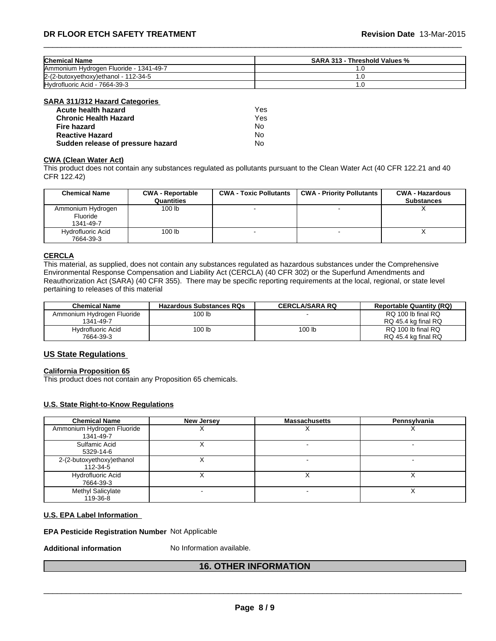| <b>Chemical Name</b>                    | SARA 313 - Threshold Values % |
|-----------------------------------------|-------------------------------|
| lAmmonium Hvdrogen Fluoride - 1341-49-7 | $\cdot$ .                     |
| 2-(2-butoxyethoxy)ethanol - 112-34-5    | . . U                         |
| Hydrofluoric Acid - 7664-39-3           | .u                            |

#### **SARA 311/312 Hazard Categories**

| Acute health hazard               | Yes. |
|-----------------------------------|------|
| <b>Chronic Health Hazard</b>      | Yes  |
| Fire hazard                       | No   |
| <b>Reactive Hazard</b>            | N٥   |
| Sudden release of pressure hazard | No   |

## **CWA (Clean WaterAct)**

This product does not contain any substances regulated as pollutants pursuant to the Clean Water Act (40 CFR 122.21 and 40 CFR 122.42)

| <b>Chemical Name</b>                       | <b>CWA - Reportable</b><br>Quantities | <b>CWA - Toxic Pollutants</b> | <b>CWA - Priority Pollutants</b> | <b>CWA - Hazardous</b><br><b>Substances</b> |
|--------------------------------------------|---------------------------------------|-------------------------------|----------------------------------|---------------------------------------------|
| Ammonium Hydrogen<br>Fluoride<br>1341-49-7 | 100 <sub>lb</sub>                     |                               |                                  | $\lambda$                                   |
| Hydrofluoric Acid<br>7664-39-3             | 100 lb                                |                               |                                  |                                             |

#### **CERCLA**

This material, as supplied, does not contain any substances regulated as hazardous substances under the Comprehensive Environmental Response Compensation and Liability Act (CERCLA) (40 CFR 302) or the Superfund Amendments and Reauthorization Act (SARA) (40 CFR 355). There may be specific reporting requirements at the local, regional, or state level pertaining to releases of this material

| <b>Chemical Name</b>       | <b>Hazardous Substances RQs</b> | <b>CERCLA/SARA RQ</b> | <b>Reportable Quantity (RQ)</b> |
|----------------------------|---------------------------------|-----------------------|---------------------------------|
| Ammonium Hydrogen Fluoride | 100 lb                          |                       | RQ 100 lb final RQ              |
| 1341-49-7                  |                                 |                       | RQ 45.4 kg final RQ             |
| Hydrofluoric Acid          | 100 lb                          | 100 lb                | RQ 100 lb final RQ              |
| 7664-39-3                  |                                 |                       | RQ 45.4 kg final RQ             |

## **US State Regulations**

#### **California Proposition 65**

This product does not contain any Proposition 65 chemicals.

#### **U.S. State Right-to-Know Regulations**

| <b>Chemical Name</b>                    | New Jersey | <b>Massachusetts</b> | Pennsylvania |
|-----------------------------------------|------------|----------------------|--------------|
| Ammonium Hydrogen Fluoride<br>1341-49-7 |            |                      |              |
| Sulfamic Acid<br>5329-14-6              |            |                      |              |
| 2-(2-butoxyethoxy)ethanol<br>112-34-5   |            |                      |              |
| Hydrofluoric Acid<br>7664-39-3          |            |                      |              |
| Methyl Salicylate<br>119-36-8           |            |                      |              |

#### **U.S. EPA Label Information**

#### **EPA Pesticide Registration Number** Not Applicable

**Additional information** No Information available.

## **16. OTHER INFORMATION**